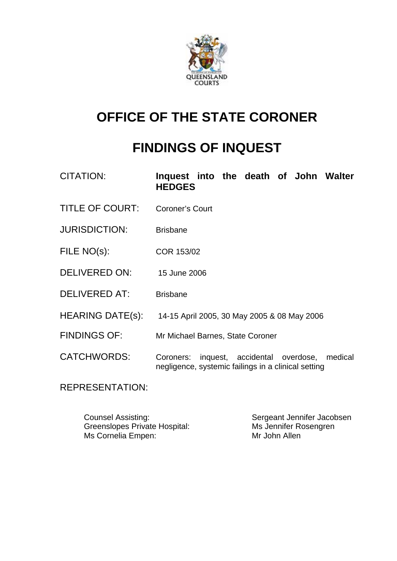

# **OFFICE OF THE STATE CORONER**

# **FINDINGS OF INQUEST**

| CITATION:              | Inquest into the death of John Walter<br><b>HEDGES</b>                                                       |
|------------------------|--------------------------------------------------------------------------------------------------------------|
| <b>TITLE OF COURT:</b> | <b>Coroner's Court</b>                                                                                       |
| <b>JURISDICTION:</b>   | <b>Brisbane</b>                                                                                              |
| FILE NO(s):            | COR 153/02                                                                                                   |
| DELIVERED ON:          | 15 June 2006                                                                                                 |
| <b>DELIVERED AT:</b>   | <b>Brisbane</b>                                                                                              |
| HEARING DATE(s):       | 14-15 April 2005, 30 May 2005 & 08 May 2006                                                                  |
| <b>FINDINGS OF:</b>    | Mr Michael Barnes, State Coroner                                                                             |
| <b>CATCHWORDS:</b>     | inquest, accidental overdose,<br>Coroners:<br>medical<br>negligence, systemic failings in a clinical setting |
|                        |                                                                                                              |

REPRESENTATION:

Counsel Assisting: Sergeant Jennifer Jacobsen<br>
Greenslopes Private Hospital: Ms Jennifer Rosengren Greenslopes Private Hospital: Ms Jennifer Rosengren<br>Ms Cornelia Empen: Ms Cornelia Home Ms Cornelia Empen: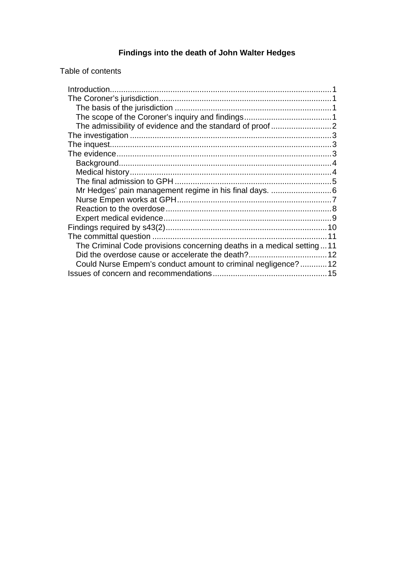# **Findings into the death of John Walter Hedges**

Table of contents

| The Criminal Code provisions concerning deaths in a medical setting11 |  |
|-----------------------------------------------------------------------|--|
|                                                                       |  |
| Could Nurse Empem's conduct amount to criminal negligence? 12         |  |
|                                                                       |  |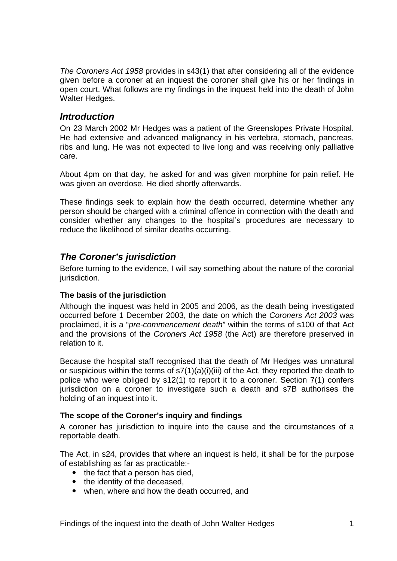*The Coroners Act 1958* provides in s43(1) that after considering all of the evidence given before a coroner at an inquest the coroner shall give his or her findings in open court. What follows are my findings in the inquest held into the death of John Walter Hedges.

### *Introduction*

On 23 March 2002 Mr Hedges was a patient of the Greenslopes Private Hospital. He had extensive and advanced malignancy in his vertebra, stomach, pancreas, ribs and lung. He was not expected to live long and was receiving only palliative care.

About 4pm on that day, he asked for and was given morphine for pain relief. He was given an overdose. He died shortly afterwards.

These findings seek to explain how the death occurred, determine whether any person should be charged with a criminal offence in connection with the death and consider whether any changes to the hospital's procedures are necessary to reduce the likelihood of similar deaths occurring.

# *The Coroner's jurisdiction*

Before turning to the evidence, I will say something about the nature of the coronial jurisdiction.

#### **The basis of the jurisdiction**

Although the inquest was held in 2005 and 2006, as the death being investigated occurred before 1 December 2003, the date on which the *Coroners Act 2003* was proclaimed, it is a "*pre-commencement death*" within the terms of s100 of that Act and the provisions of the *Coroners Act 1958* (the Act) are therefore preserved in relation to it.

Because the hospital staff recognised that the death of Mr Hedges was unnatural or suspicious within the terms of  $s7(1)(a)(i)(iii)$  of the Act, they reported the death to police who were obliged by s12(1) to report it to a coroner. Section 7(1) confers jurisdiction on a coroner to investigate such a death and s7B authorises the holding of an inquest into it.

#### **The scope of the Coroner's inquiry and findings**

A coroner has jurisdiction to inquire into the cause and the circumstances of a reportable death.

The Act, in s24, provides that where an inquest is held, it shall be for the purpose of establishing as far as practicable:-

- $\bullet$  the fact that a person has died.
- the identity of the deceased,
- when, where and how the death occurred, and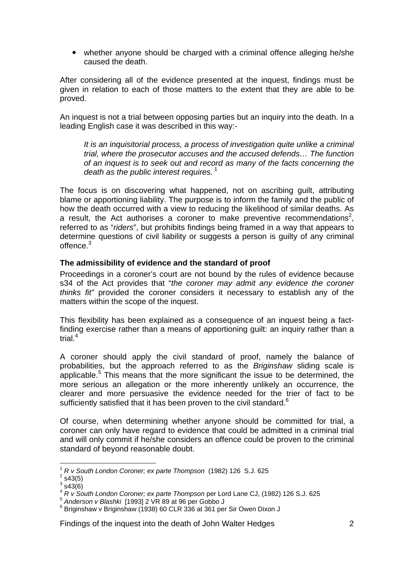• whether anyone should be charged with a criminal offence alleging he/she caused the death.

After considering all of the evidence presented at the inquest, findings must be given in relation to each of those matters to the extent that they are able to be proved.

An inquest is not a trial between opposing parties but an inquiry into the death. In a leading English case it was described in this way:-

*It is an inquisitorial process, a process of investigation quite unlike a criminal trial, where the prosecutor accuses and the accused defends… The function of an inquest is to seek out and record as many of the facts concerning the death as the public interest requires.*<sup>1</sup>

The focus is on discovering what happened, not on ascribing guilt, attributing blame or apportioning liability. The purpose is to inform the family and the public of how the death occurred with a view to reducing the likelihood of similar deaths. As a result, the Act authorises a coroner to make preventive recommendations<sup>2</sup>, referred to as "*riders*", but prohibits findings being framed in a way that appears to determine questions of civil liability or suggests a person is guilty of any criminal offence $3$ 

#### **The admissibility of evidence and the standard of proof**

Proceedings in a coroner's court are not bound by the rules of evidence because s34 of the Act provides that "*the coroner may admit any evidence the coroner thinks fit"* provided the coroner considers it necessary to establish any of the matters within the scope of the inquest.

This flexibility has been explained as a consequence of an inquest being a factfinding exercise rather than a means of apportioning guilt: an inquiry rather than a trial. $4$ 

A coroner should apply the civil standard of proof, namely the balance of probabilities, but the approach referred to as the *Briginshaw* sliding scale is applicable. $5$  This means that the more significant the issue to be determined, the more serious an allegation or the more inherently unlikely an occurrence, the clearer and more persuasive the evidence needed for the trier of fact to be sufficiently satisfied that it has been proven to the civil standard.<sup>6</sup>

Of course, when determining whether anyone should be committed for trial, a coroner can only have regard to evidence that could be admitted in a criminal trial and will only commit if he/she considers an offence could be proven to the criminal standard of beyond reasonable doubt.

<sup>1</sup> *R v South London Coroner; ex parte Thompson* (1982) 126 S.J. 625 2

 $2$  s43(5)

 $3$  s43(6)

<sup>&</sup>lt;sup>4</sup> *R v South London Coroner; ex parte Thompson* per Lord Lane CJ, (1982) 126 S.J. 625<br>
<sup>5</sup> Anderson v Blashki [1993] 2 VR 89 at 96 per Gobbo J

 $6$  Briginshaw v Briginshaw (1938) 60 CLR 336 at 361 per Sir Owen Dixon J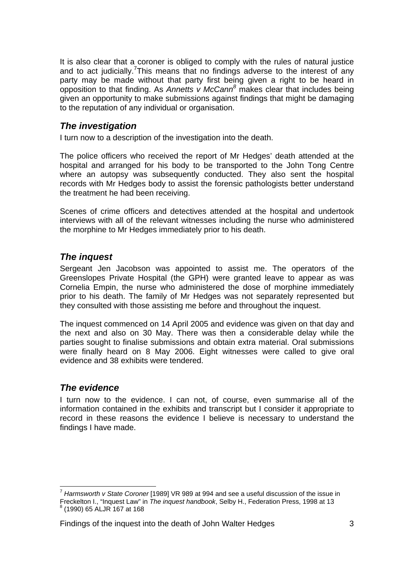It is also clear that a coroner is obliged to comply with the rules of natural justice and to act judicially.<sup>7</sup>This means that no findings adverse to the interest of any party may be made without that party first being given a right to be heard in opposition to that finding. As *Annetts v McCann<sup>8</sup>* makes clear that includes being given an opportunity to make submissions against findings that might be damaging to the reputation of any individual or organisation.

# *The investigation*

I turn now to a description of the investigation into the death.

The police officers who received the report of Mr Hedges' death attended at the hospital and arranged for his body to be transported to the John Tong Centre where an autopsy was subsequently conducted. They also sent the hospital records with Mr Hedges body to assist the forensic pathologists better understand the treatment he had been receiving.

Scenes of crime officers and detectives attended at the hospital and undertook interviews with all of the relevant witnesses including the nurse who administered the morphine to Mr Hedges immediately prior to his death.

# *The inquest*

Sergeant Jen Jacobson was appointed to assist me. The operators of the Greenslopes Private Hospital (the GPH) were granted leave to appear as was Cornelia Empin, the nurse who administered the dose of morphine immediately prior to his death. The family of Mr Hedges was not separately represented but they consulted with those assisting me before and throughout the inquest.

The inquest commenced on 14 April 2005 and evidence was given on that day and the next and also on 30 May. There was then a considerable delay while the parties sought to finalise submissions and obtain extra material. Oral submissions were finally heard on 8 May 2006. Eight witnesses were called to give oral evidence and 38 exhibits were tendered.

# *The evidence*

I turn now to the evidence. I can not, of course, even summarise all of the information contained in the exhibits and transcript but I consider it appropriate to record in these reasons the evidence I believe is necessary to understand the findings I have made.

<sup>7</sup> *Harmsworth v State Coroner* [1989] VR 989 at 994 and see a useful discussion of the issue in Freckelton I., "Inquest Law" in *The inquest handbook*, Selby H., Federation Press, 1998 at 13 8  $<sup>8</sup>$  (1990) 65 ALJR 167 at 168</sup>

Findings of the inquest into the death of John Walter Hedges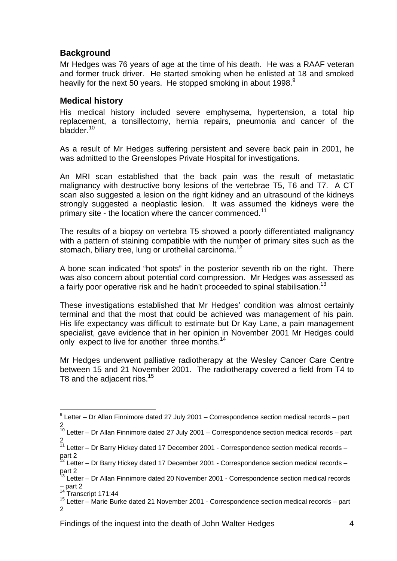## **Background**

Mr Hedges was 76 years of age at the time of his death. He was a RAAF veteran and former truck driver. He started smoking when he enlisted at 18 and smoked heavily for the next 50 years. He stopped smoking in about 1998.<sup>9</sup>

### **Medical history**

His medical history included severe emphysema, hypertension, a total hip replacement, a tonsillectomy, hernia repairs, pneumonia and cancer of the bladder.<sup>10</sup>

As a result of Mr Hedges suffering persistent and severe back pain in 2001, he was admitted to the Greenslopes Private Hospital for investigations.

An MRI scan established that the back pain was the result of metastatic malignancy with destructive bony lesions of the vertebrae T5, T6 and T7. A CT scan also suggested a lesion on the right kidney and an ultrasound of the kidneys strongly suggested a neoplastic lesion. It was assumed the kidneys were the primary site - the location where the cancer commenced.<sup>11</sup>

The results of a biopsy on vertebra T5 showed a poorly differentiated malignancy with a pattern of staining compatible with the number of primary sites such as the stomach, biliary tree, lung or urothelial carcinoma.<sup>12</sup>

A bone scan indicated "hot spots" in the posterior seventh rib on the right. There was also concern about potential cord compression. Mr Hedges was assessed as a fairly poor operative risk and he hadn't proceeded to spinal stabilisation.<sup>13</sup>

These investigations established that Mr Hedges' condition was almost certainly terminal and that the most that could be achieved was management of his pain. His life expectancy was difficult to estimate but Dr Kay Lane, a pain management specialist, gave evidence that in her opinion in November 2001 Mr Hedges could only expect to live for another three months.<sup>14</sup>

Mr Hedges underwent palliative radiotherapy at the Wesley Cancer Care Centre between 15 and 21 November 2001. The radiotherapy covered a field from T4 to T8 and the adjacent ribs.<sup>15</sup>

 9 Letter – Dr Allan Finnimore dated 27 July 2001 – Correspondence section medical records – part 2

 $10$  Letter – Dr Allan Finnimore dated 27 July 2001 – Correspondence section medical records – part 2

 $11$  Letter – Dr Barry Hickey dated 17 December 2001 - Correspondence section medical records – part 2

 $12$  Letter – Dr Barry Hickey dated 17 December 2001 - Correspondence section medical records – part 2

<sup>&</sup>lt;sup>13</sup> Letter – Dr Allan Finnimore dated 20 November 2001 - Correspondence section medical records  $-$  part 2<br><sup>14</sup> Transcript 171:44

 $15$  Letter – Marie Burke dated 21 November 2001 - Correspondence section medical records – part 2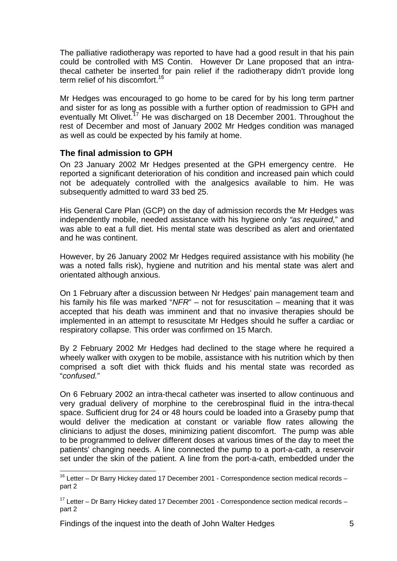The palliative radiotherapy was reported to have had a good result in that his pain could be controlled with MS Contin. However Dr Lane proposed that an intrathecal catheter be inserted for pain relief if the radiotherapy didn't provide long term relief of his discomfort.<sup>16</sup>

Mr Hedges was encouraged to go home to be cared for by his long term partner and sister for as long as possible with a further option of readmission to GPH and eventually Mt Olivet.17 He was discharged on 18 December 2001. Throughout the rest of December and most of January 2002 Mr Hedges condition was managed as well as could be expected by his family at home.

#### **The final admission to GPH**

On 23 January 2002 Mr Hedges presented at the GPH emergency centre. He reported a significant deterioration of his condition and increased pain which could not be adequately controlled with the analgesics available to him. He was subsequently admitted to ward 33 bed 25.

His General Care Plan (GCP) on the day of admission records the Mr Hedges was independently mobile, needed assistance with his hygiene only *"as required,*" and was able to eat a full diet. His mental state was described as alert and orientated and he was continent.

However, by 26 January 2002 Mr Hedges required assistance with his mobility (he was a noted falls risk), hygiene and nutrition and his mental state was alert and orientated although anxious.

On 1 February after a discussion between Nr Hedges' pain management team and his family his file was marked "*NFR*" – not for resuscitation – meaning that it was accepted that his death was imminent and that no invasive therapies should be implemented in an attempt to resuscitate Mr Hedges should he suffer a cardiac or respiratory collapse. This order was confirmed on 15 March.

By 2 February 2002 Mr Hedges had declined to the stage where he required a wheely walker with oxygen to be mobile, assistance with his nutrition which by then comprised a soft diet with thick fluids and his mental state was recorded as "*confused.*"

On 6 February 2002 an intra-thecal catheter was inserted to allow continuous and very gradual delivery of morphine to the cerebrospinal fluid in the intra-thecal space. Sufficient drug for 24 or 48 hours could be loaded into a Graseby pump that would deliver the medication at constant or variable flow rates allowing the clinicians to adjust the doses, minimizing patient discomfort. The pump was able to be programmed to deliver different doses at various times of the day to meet the patients' changing needs. A line connected the pump to a port-a-cath, a reservoir set under the skin of the patient. A line from the port-a-cath, embedded under the

 $16$  Letter – Dr Barry Hickey dated 17 December 2001 - Correspondence section medical records – part 2

 $17$  Letter – Dr Barry Hickey dated 17 December 2001 - Correspondence section medical records – part 2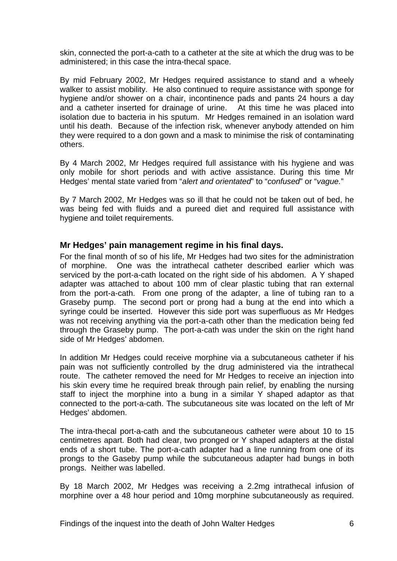skin, connected the port-a-cath to a catheter at the site at which the drug was to be administered; in this case the intra-thecal space.

By mid February 2002, Mr Hedges required assistance to stand and a wheely walker to assist mobility. He also continued to require assistance with sponge for hygiene and/or shower on a chair, incontinence pads and pants 24 hours a day and a catheter inserted for drainage of urine. At this time he was placed into isolation due to bacteria in his sputum. Mr Hedges remained in an isolation ward until his death. Because of the infection risk, whenever anybody attended on him they were required to a don gown and a mask to minimise the risk of contaminating others.

By 4 March 2002, Mr Hedges required full assistance with his hygiene and was only mobile for short periods and with active assistance. During this time Mr Hedges' mental state varied from "*alert and orientated*" to "*confused*" or "*vague.*"

By 7 March 2002, Mr Hedges was so ill that he could not be taken out of bed, he was being fed with fluids and a pureed diet and required full assistance with hygiene and toilet requirements.

#### **Mr Hedges' pain management regime in his final days.**

For the final month of so of his life, Mr Hedges had two sites for the administration of morphine. One was the intrathecal catheter described earlier which was serviced by the port-a-cath located on the right side of his abdomen. A Y shaped adapter was attached to about 100 mm of clear plastic tubing that ran external from the port-a-cath. From one prong of the adapter, a line of tubing ran to a Graseby pump. The second port or prong had a bung at the end into which a syringe could be inserted. However this side port was superfluous as Mr Hedges was not receiving anything via the port-a-cath other than the medication being fed through the Graseby pump. The port-a-cath was under the skin on the right hand side of Mr Hedges' abdomen.

In addition Mr Hedges could receive morphine via a subcutaneous catheter if his pain was not sufficiently controlled by the drug administered via the intrathecal route. The catheter removed the need for Mr Hedges to receive an injection into his skin every time he required break through pain relief, by enabling the nursing staff to inject the morphine into a bung in a similar Y shaped adaptor as that connected to the port-a-cath. The subcutaneous site was located on the left of Mr Hedges' abdomen.

The intra-thecal port-a-cath and the subcutaneous catheter were about 10 to 15 centimetres apart. Both had clear, two pronged or Y shaped adapters at the distal ends of a short tube. The port-a-cath adapter had a line running from one of its prongs to the Gaseby pump while the subcutaneous adapter had bungs in both prongs. Neither was labelled.

By 18 March 2002, Mr Hedges was receiving a 2.2mg intrathecal infusion of morphine over a 48 hour period and 10mg morphine subcutaneously as required.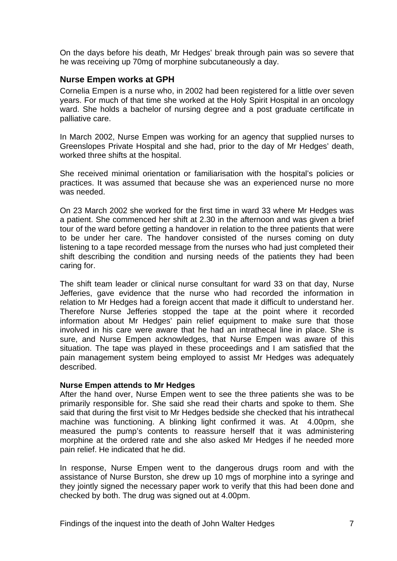On the days before his death, Mr Hedges' break through pain was so severe that he was receiving up 70mg of morphine subcutaneously a day.

#### **Nurse Empen works at GPH**

Cornelia Empen is a nurse who, in 2002 had been registered for a little over seven years. For much of that time she worked at the Holy Spirit Hospital in an oncology ward. She holds a bachelor of nursing degree and a post graduate certificate in palliative care.

In March 2002, Nurse Empen was working for an agency that supplied nurses to Greenslopes Private Hospital and she had, prior to the day of Mr Hedges' death, worked three shifts at the hospital.

She received minimal orientation or familiarisation with the hospital's policies or practices. It was assumed that because she was an experienced nurse no more was needed.

On 23 March 2002 she worked for the first time in ward 33 where Mr Hedges was a patient. She commenced her shift at 2.30 in the afternoon and was given a brief tour of the ward before getting a handover in relation to the three patients that were to be under her care. The handover consisted of the nurses coming on duty listening to a tape recorded message from the nurses who had just completed their shift describing the condition and nursing needs of the patients they had been caring for.

The shift team leader or clinical nurse consultant for ward 33 on that day, Nurse Jefferies, gave evidence that the nurse who had recorded the information in relation to Mr Hedges had a foreign accent that made it difficult to understand her. Therefore Nurse Jefferies stopped the tape at the point where it recorded information about Mr Hedges' pain relief equipment to make sure that those involved in his care were aware that he had an intrathecal line in place. She is sure, and Nurse Empen acknowledges, that Nurse Empen was aware of this situation. The tape was played in these proceedings and I am satisfied that the pain management system being employed to assist Mr Hedges was adequately described.

#### **Nurse Empen attends to Mr Hedges**

After the hand over, Nurse Empen went to see the three patients she was to be primarily responsible for. She said she read their charts and spoke to them. She said that during the first visit to Mr Hedges bedside she checked that his intrathecal machine was functioning. A blinking light confirmed it was. At 4.00pm, she measured the pump's contents to reassure herself that it was administering morphine at the ordered rate and she also asked Mr Hedges if he needed more pain relief. He indicated that he did.

In response, Nurse Empen went to the dangerous drugs room and with the assistance of Nurse Burston, she drew up 10 mgs of morphine into a syringe and they jointly signed the necessary paper work to verify that this had been done and checked by both. The drug was signed out at 4.00pm.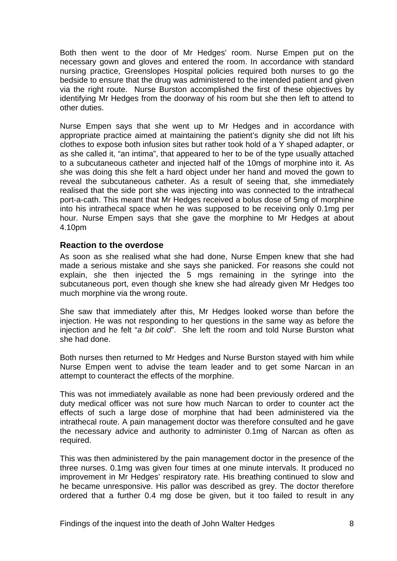Both then went to the door of Mr Hedges' room. Nurse Empen put on the necessary gown and gloves and entered the room. In accordance with standard nursing practice, Greenslopes Hospital policies required both nurses to go the bedside to ensure that the drug was administered to the intended patient and given via the right route. Nurse Burston accomplished the first of these objectives by identifying Mr Hedges from the doorway of his room but she then left to attend to other duties.

Nurse Empen says that she went up to Mr Hedges and in accordance with appropriate practice aimed at maintaining the patient's dignity she did not lift his clothes to expose both infusion sites but rather took hold of a Y shaped adapter, or as she called it, "an intima", that appeared to her to be of the type usually attached to a subcutaneous catheter and injected half of the 10mgs of morphine into it. As she was doing this she felt a hard object under her hand and moved the gown to reveal the subcutaneous catheter. As a result of seeing that, she immediately realised that the side port she was injecting into was connected to the intrathecal port-a-cath. This meant that Mr Hedges received a bolus dose of 5mg of morphine into his intrathecal space when he was supposed to be receiving only 0.1mg per hour. Nurse Empen says that she gave the morphine to Mr Hedges at about 4.10pm

#### **Reaction to the overdose**

As soon as she realised what she had done, Nurse Empen knew that she had made a serious mistake and she says she panicked. For reasons she could not explain, she then injected the 5 mgs remaining in the syringe into the subcutaneous port, even though she knew she had already given Mr Hedges too much morphine via the wrong route.

She saw that immediately after this, Mr Hedges looked worse than before the injection. He was not responding to her questions in the same way as before the injection and he felt "*a bit cold*". She left the room and told Nurse Burston what she had done.

Both nurses then returned to Mr Hedges and Nurse Burston stayed with him while Nurse Empen went to advise the team leader and to get some Narcan in an attempt to counteract the effects of the morphine.

This was not immediately available as none had been previously ordered and the duty medical officer was not sure how much Narcan to order to counter act the effects of such a large dose of morphine that had been administered via the intrathecal route. A pain management doctor was therefore consulted and he gave the necessary advice and authority to administer 0.1mg of Narcan as often as required.

This was then administered by the pain management doctor in the presence of the three nurses. 0.1mg was given four times at one minute intervals. It produced no improvement in Mr Hedges' respiratory rate. His breathing continued to slow and he became unresponsive. His pallor was described as grey. The doctor therefore ordered that a further 0.4 mg dose be given, but it too failed to result in any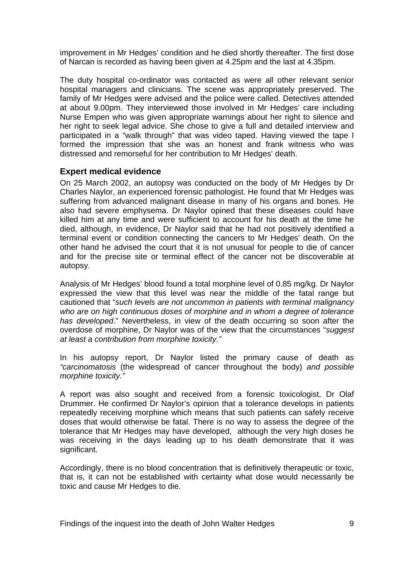improvement in Mr Hedges' condition and he died shortly thereafter. The first dose of Narcan is recorded as having been given at 4.25pm and the last at 4.35pm.

The duty hospital co-ordinator was contacted as were all other relevant senior hospital managers and clinicians. The scene was appropriately preserved. The family of Mr Hedges were advised and the police were called. Detectives attended at about 9.00pm. They interviewed those involved in Mr Hedges' care including Nurse Empen who was given appropriate warnings about her right to silence and her right to seek legal advice. She chose to give a full and detailed interview and participated in a "walk through" that was video taped. Having viewed the tape I formed the impression that she was an honest and frank witness who was distressed and remorseful for her contribution to Mr Hedges' death.

#### **Expert medical evidence**

On 25 March 2002, an autopsy was conducted on the body of Mr Hedges by Dr Charles Naylor, an experienced forensic pathologist. He found that Mr Hedges was suffering from advanced malignant disease in many of his organs and bones. He also had severe emphysema. Dr Naylor opined that these diseases could have killed him at any time and were sufficient to account for his death at the time he died, although, in evidence, Dr Naylor said that he had not positively identified a terminal event or condition connecting the cancers to Mr Hedges' death. On the other hand he advised the court that it is not unusual for people to die of cancer and for the precise site or terminal effect of the cancer not be discoverable at autopsy.

Analysis of Mr Hedges' blood found a total morphine level of 0.85 mg/kg. Dr Naylor expressed the view that this level was near the middle of the fatal range but cautioned that "*such levels are not uncommon in patients with terminal malignancy who are on high continuous doses of morphine and in whom a degree of tolerance has developed*." Nevertheless, in view of the death occurring so soon after the overdose of morphine, Dr Naylor was of the view that the circumstances "*suggest at least a contribution from morphine toxicity."* 

In his autopsy report, Dr Naylor listed the primary cause of death as *"carcinomatosis* (the widespread of cancer throughout the body) *and possible morphine toxicity."* 

A report was also sought and received from a forensic toxicologist, Dr Olaf Drummer. He confirmed Dr Naylor's opinion that a tolerance develops in patients repeatedly receiving morphine which means that such patients can safely receive doses that would otherwise be fatal. There is no way to assess the degree of the tolerance that Mr Hedges may have developed, although the very high doses he was receiving in the days leading up to his death demonstrate that it was significant.

Accordingly, there is no blood concentration that is definitively therapeutic or toxic, that is, it can not be established with certainty what dose would necessarily be toxic and cause Mr Hedges to die.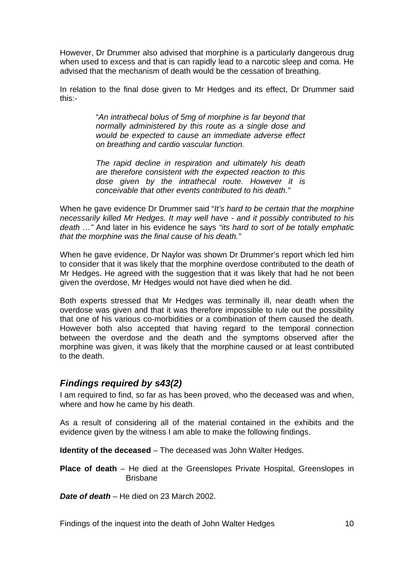However, Dr Drummer also advised that morphine is a particularly dangerous drug when used to excess and that is can rapidly lead to a narcotic sleep and coma. He advised that the mechanism of death would be the cessation of breathing.

In relation to the final dose given to Mr Hedges and its effect, Dr Drummer said this:-

> "*An intrathecal bolus of 5mg of morphine is far beyond that normally administered by this route as a single dose and would be expected to cause an immediate adverse effect on breathing and cardio vascular function.*

> *The rapid decline in respiration and ultimately his death are therefore consistent with the expected reaction to this dose given by the intrathecal route. However it is conceivable that other events contributed to his death."*

When he gave evidence Dr Drummer said "*It's hard to be certain that the morphine necessarily killed Mr Hedges. It may well have - and it possibly contributed to his death …"* And later in his evidence he says *"its hard to sort of be totally emphatic that the morphine was the final cause of his death."* 

When he gave evidence, Dr Naylor was shown Dr Drummer's report which led him to consider that it was likely that the morphine overdose contributed to the death of Mr Hedges. He agreed with the suggestion that it was likely that had he not been given the overdose, Mr Hedges would not have died when he did.

Both experts stressed that Mr Hedges was terminally ill, near death when the overdose was given and that it was therefore impossible to rule out the possibility that one of his various co-morbidities or a combination of them caused the death. However both also accepted that having regard to the temporal connection between the overdose and the death and the symptoms observed after the morphine was given, it was likely that the morphine caused or at least contributed to the death.

#### *Findings required by s43(2)*

I am required to find, so far as has been proved, who the deceased was and when, where and how he came by his death.

As a result of considering all of the material contained in the exhibits and the evidence given by the witness I am able to make the following findings.

**Identity of the deceased** – The deceased was John Walter Hedges.

**Place of death** – He died at the Greenslopes Private Hospital, Greenslopes in Brisbane

*Date of death* – He died on 23 March 2002.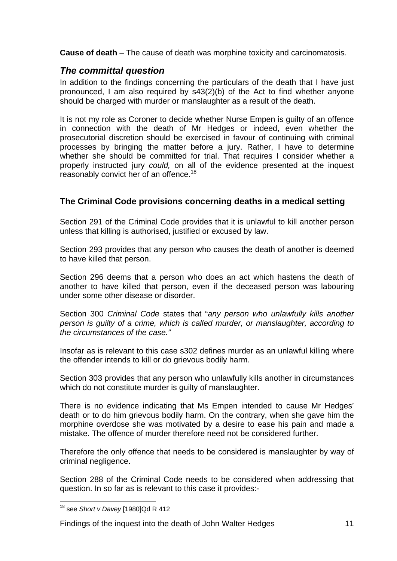**Cause of death** – The cause of death was morphine toxicity and carcinomatosis*.* 

# *The committal question*

In addition to the findings concerning the particulars of the death that I have just pronounced, I am also required by s43(2)(b) of the Act to find whether anyone should be charged with murder or manslaughter as a result of the death.

It is not my role as Coroner to decide whether Nurse Empen is guilty of an offence in connection with the death of Mr Hedges or indeed, even whether the prosecutorial discretion should be exercised in favour of continuing with criminal processes by bringing the matter before a jury. Rather, I have to determine whether she should be committed for trial. That requires I consider whether a properly instructed jury *could,* on all of the evidence presented at the inquest reasonably convict her of an offence.<sup>18</sup>

## **The Criminal Code provisions concerning deaths in a medical setting**

Section 291 of the Criminal Code provides that it is unlawful to kill another person unless that killing is authorised, justified or excused by law.

Section 293 provides that any person who causes the death of another is deemed to have killed that person.

Section 296 deems that a person who does an act which hastens the death of another to have killed that person, even if the deceased person was labouring under some other disease or disorder.

Section 300 *Criminal Code* states that "*any person who unlawfully kills another person is guilty of a crime, which is called murder, or manslaughter, according to the circumstances of the case."* 

Insofar as is relevant to this case s302 defines murder as an unlawful killing where the offender intends to kill or do grievous bodily harm.

Section 303 provides that any person who unlawfully kills another in circumstances which do not constitute murder is guilty of manslaughter.

There is no evidence indicating that Ms Empen intended to cause Mr Hedges' death or to do him grievous bodily harm. On the contrary, when she gave him the morphine overdose she was motivated by a desire to ease his pain and made a mistake. The offence of murder therefore need not be considered further.

Therefore the only offence that needs to be considered is manslaughter by way of criminal negligence.

Section 288 of the Criminal Code needs to be considered when addressing that question. In so far as is relevant to this case it provides:-

 18 see *Short v Davey* [1980]Qd R 412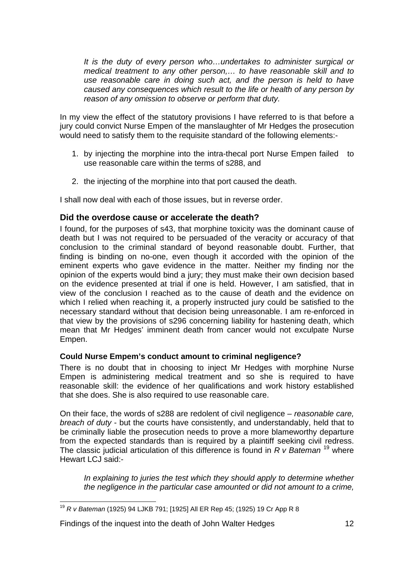*It is the duty of every person who…undertakes to administer surgical or medical treatment to any other person,… to have reasonable skill and to use reasonable care in doing such act, and the person is held to have caused any consequences which result to the life or health of any person by reason of any omission to observe or perform that duty.* 

In my view the effect of the statutory provisions I have referred to is that before a jury could convict Nurse Empen of the manslaughter of Mr Hedges the prosecution would need to satisfy them to the requisite standard of the following elements:-

- 1. by injecting the morphine into the intra-thecal port Nurse Empen failed to use reasonable care within the terms of s288, and
- 2. the injecting of the morphine into that port caused the death.

I shall now deal with each of those issues, but in reverse order.

#### **Did the overdose cause or accelerate the death?**

I found, for the purposes of s43, that morphine toxicity was the dominant cause of death but I was not required to be persuaded of the veracity or accuracy of that conclusion to the criminal standard of beyond reasonable doubt. Further, that finding is binding on no-one, even though it accorded with the opinion of the eminent experts who gave evidence in the matter. Neither my finding nor the opinion of the experts would bind a jury; they must make their own decision based on the evidence presented at trial if one is held. However, I am satisfied, that in view of the conclusion I reached as to the cause of death and the evidence on which I relied when reaching it, a properly instructed jury could be satisfied to the necessary standard without that decision being unreasonable. I am re-enforced in that view by the provisions of s296 concerning liability for hastening death, which mean that Mr Hedges' imminent death from cancer would not exculpate Nurse Empen.

#### **Could Nurse Empem's conduct amount to criminal negligence?**

There is no doubt that in choosing to inject Mr Hedges with morphine Nurse Empen is administering medical treatment and so she is required to have reasonable skill: the evidence of her qualifications and work history established that she does. She is also required to use reasonable care.

On their face, the words of s288 are redolent of civil negligence – *reasonable care, breach of duty* - but the courts have consistently, and understandably, held that to be criminally liable the prosecution needs to prove a more blameworthy departure from the expected standards than is required by a plaintiff seeking civil redress. The classic judicial articulation of this difference is found in *R v Bateman* 19 where Hewart LCJ said:-

*In explaining to juries the test which they should apply to determine whether the negligence in the particular case amounted or did not amount to a crime,* 

<sup>19</sup> *R v Bateman* (1925) 94 LJKB 791; [1925] All ER Rep 45; (1925) 19 Cr App R 8

Findings of the inquest into the death of John Walter Hedges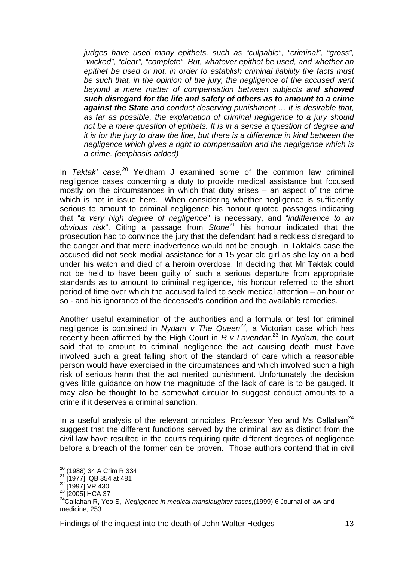*judges have used many epithets, such as "culpable", "criminal", "gross", "wicked", "clear", "complete". But, whatever epithet be used, and whether an*  epithet be used or not, in order to establish criminal liability the facts must be such that, in the opinion of the jury, the negligence of the accused went *beyond a mere matter of compensation between subjects and showed such disregard for the life and safety of others as to amount to a crime against the State and conduct deserving punishment … It is desirable that, as far as possible, the explanation of criminal negligence to a jury should not be a mere question of epithets. It is in a sense a question of degree and it is for the jury to draw the line, but there is a difference in kind between the negligence which gives a right to compensation and the negligence which is a crime. (emphasis added)* 

In *Taktak'* case,<sup>20</sup> Yeldham J examined some of the common law criminal negligence cases concerning a duty to provide medical assistance but focused mostly on the circumstances in which that duty arises – an aspect of the crime which is not in issue here. When considering whether negligence is sufficiently serious to amount to criminal negligence his honour quoted passages indicating that "*a very high degree of negligence*" is necessary, and "*indifference to an obvious risk*". Citing a passage from *Stone*21 his honour indicated that the prosecution had to convince the jury that the defendant had a reckless disregard to the danger and that mere inadvertence would not be enough. In Taktak's case the accused did not seek medial assistance for a 15 year old girl as she lay on a bed under his watch and died of a heroin overdose. In deciding that Mr Taktak could not be held to have been guilty of such a serious departure from appropriate standards as to amount to criminal negligence, his honour referred to the short period of time over which the accused failed to seek medical attention – an hour or so - and his ignorance of the deceased's condition and the available remedies.

Another useful examination of the authorities and a formula or test for criminal negligence is contained in *Nydam v The Queen<sup>22</sup>*, a Victorian case which has recently been affirmed by the High Court in *R v Lavendar*. 23 In *Nydam*, the court said that to amount to criminal negligence the act causing death must have involved such a great falling short of the standard of care which a reasonable person would have exercised in the circumstances and which involved such a high risk of serious harm that the act merited punishment. Unfortunately the decision gives little guidance on how the magnitude of the lack of care is to be gauged. It may also be thought to be somewhat circular to suggest conduct amounts to a crime if it deserves a criminal sanction.

In a useful analysis of the relevant principles, Professor Yeo and Ms Callahan<sup>24</sup> suggest that the different functions served by the criminal law as distinct from the civil law have resulted in the courts requiring quite different degrees of negligence before a breach of the former can be proven. Those authors contend that in civil

<sup>&</sup>lt;sup>20</sup> (1988) 34 A Crim R 334

 $21$  (1988) 31.1 State 181

 $\frac{22}{23}$ [1997] VR 430<br> $\frac{23}{23}$ [2005] HCA 37

<sup>&</sup>lt;sup>24</sup> Callahan R, Yeo S, *Negligence in medical manslaughter cases*,(1999) 6 Journal of law and medicine, 253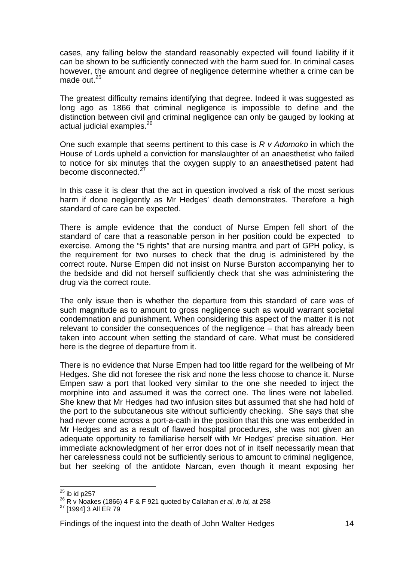cases, any falling below the standard reasonably expected will found liability if it can be shown to be sufficiently connected with the harm sued for. In criminal cases however, the amount and degree of negligence determine whether a crime can be made out. $25$ 

The greatest difficulty remains identifying that degree. Indeed it was suggested as long ago as 1866 that criminal negligence is impossible to define and the distinction between civil and criminal negligence can only be gauged by looking at actual judicial examples.<sup>26</sup>

One such example that seems pertinent to this case is *R v Adomoko* in which the House of Lords upheld a conviction for manslaughter of an anaesthetist who failed to notice for six minutes that the oxygen supply to an anaesthetised patent had become disconnected.<sup>27</sup>

In this case it is clear that the act in question involved a risk of the most serious harm if done negligently as Mr Hedges' death demonstrates. Therefore a high standard of care can be expected.

There is ample evidence that the conduct of Nurse Empen fell short of the standard of care that a reasonable person in her position could be expected to exercise. Among the "5 rights" that are nursing mantra and part of GPH policy, is the requirement for two nurses to check that the drug is administered by the correct route. Nurse Empen did not insist on Nurse Burston accompanying her to the bedside and did not herself sufficiently check that she was administering the drug via the correct route.

The only issue then is whether the departure from this standard of care was of such magnitude as to amount to gross negligence such as would warrant societal condemnation and punishment. When considering this aspect of the matter it is not relevant to consider the consequences of the negligence – that has already been taken into account when setting the standard of care. What must be considered here is the degree of departure from it.

There is no evidence that Nurse Empen had too little regard for the wellbeing of Mr Hedges. She did not foresee the risk and none the less choose to chance it. Nurse Empen saw a port that looked very similar to the one she needed to inject the morphine into and assumed it was the correct one. The lines were not labelled. She knew that Mr Hedges had two infusion sites but assumed that she had hold of the port to the subcutaneous site without sufficiently checking. She says that she had never come across a port-a-cath in the position that this one was embedded in Mr Hedges and as a result of flawed hospital procedures, she was not given an adequate opportunity to familiarise herself with Mr Hedges' precise situation. Her immediate acknowledgment of her error does not of in itself necessarily mean that her carelessness could not be sufficiently serious to amount to criminal negligence, but her seeking of the antidote Narcan, even though it meant exposing her

 $25$  ib id p257

<sup>25</sup> ib id p257 26 R v Noakes (1866) 4 F & F 921 quoted by Callahan *et al, ib id,* at 258

<sup>&</sup>lt;sup>27</sup> [1994] 3 All ER 79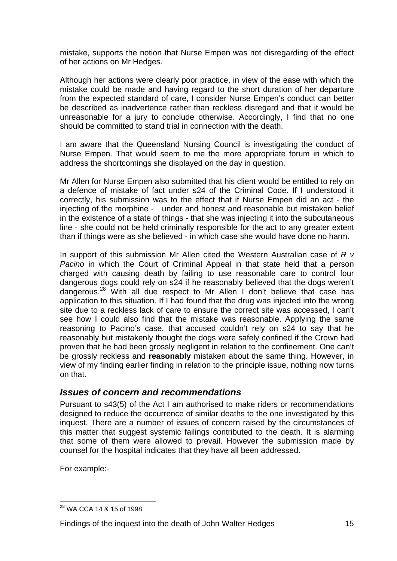mistake, supports the notion that Nurse Empen was not disregarding of the effect of her actions on Mr Hedges.

Although her actions were clearly poor practice, in view of the ease with which the mistake could be made and having regard to the short duration of her departure from the expected standard of care, I consider Nurse Empen's conduct can better be described as inadvertence rather than reckless disregard and that it would be unreasonable for a jury to conclude otherwise. Accordingly, I find that no one should be committed to stand trial in connection with the death.

I am aware that the Queensland Nursing Council is investigating the conduct of Nurse Empen. That would seem to me the more appropriate forum in which to address the shortcomings she displayed on the day in question.

Mr Allen for Nurse Empen also submitted that his client would be entitled to rely on a defence of mistake of fact under s24 of the Criminal Code. If I understood it correctly, his submission was to the effect that if Nurse Empen did an act - the injecting of the morphine - under and honest and reasonable but mistaken belief in the existence of a state of things - that she was injecting it into the subcutaneous line - she could not be held criminally responsible for the act to any greater extent than if things were as she believed - in which case she would have done no harm.

In support of this submission Mr Allen cited the Western Australian case of *R v Pacino* in which the Court of Criminal Appeal in that state held that a person charged with causing death by failing to use reasonable care to control four dangerous dogs could rely on s24 if he reasonably believed that the dogs weren't dangerous.<sup>28</sup> With all due respect to Mr Allen I don't believe that case has application to this situation. If I had found that the drug was injected into the wrong site due to a reckless lack of care to ensure the correct site was accessed, I can't see how I could also find that the mistake was reasonable. Applying the same reasoning to Pacino's case, that accused couldn't rely on s24 to say that he reasonably but mistakenly thought the dogs were safely confined if the Crown had proven that he had been grossly negligent in relation to the confinement. One can't be grossly reckless and **reasonably** mistaken about the same thing. However, in view of my finding earlier finding in relation to the principle issue, nothing now turns on that.

## *Issues of concern and recommendations*

Pursuant to s43(5) of the Act I am authorised to make riders or recommendations designed to reduce the occurrence of similar deaths to the one investigated by this inquest. There are a number of issues of concern raised by the circumstances of this matter that suggest systemic failings contributed to the death. It is alarming that some of them were allowed to prevail. However the submission made by counsel for the hospital indicates that they have all been addressed.

For example:-

 <sup>28</sup> WA CCA 14 & 15 of 1998

Findings of the inquest into the death of John Walter Hedges